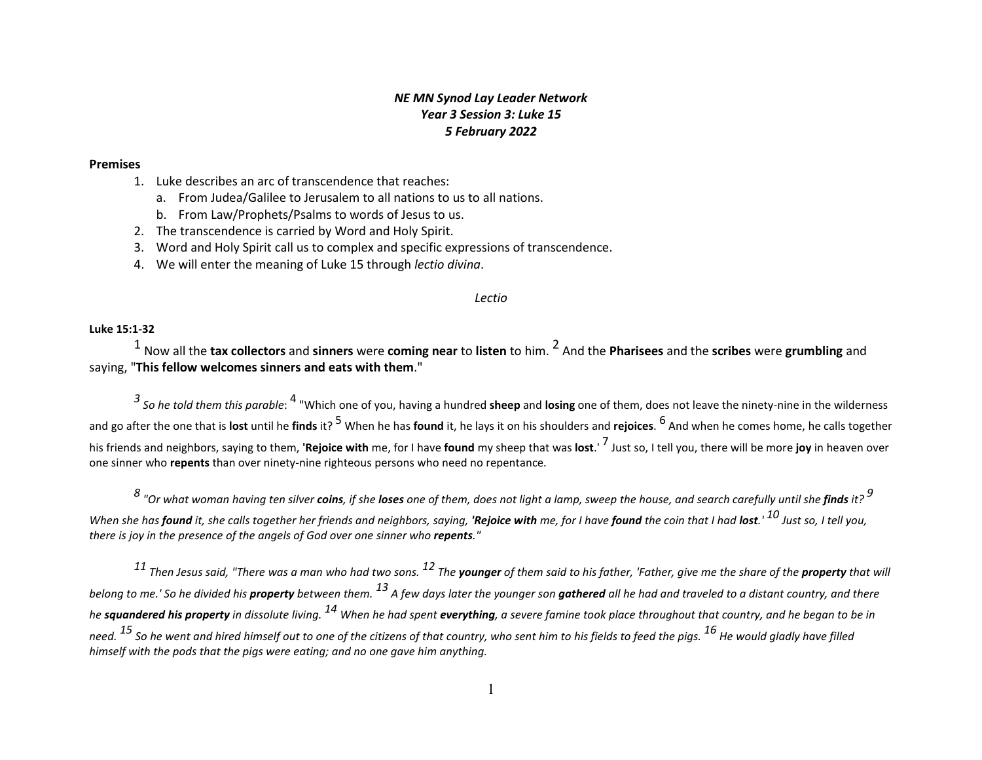## *NE MN Synod Lay Leader Network Year 3 Session 3: Luke 15 5 February 2022*

#### **Premises**

- 1. Luke describes an arc of transcendence that reaches:
	- a. From Judea/Galilee to Jerusalem to all nations to us to all nations.
	- b. From Law/Prophets/Psalms to words of Jesus to us.
- 2. The transcendence is carried by Word and Holy Spirit.
- 3. Word and Holy Spirit call us to complex and specific expressions of transcendence.
- 4. We will enter the meaning of Luke 15 through *lectio divina*.

#### *Lectio*

#### **Luke 15:1-32**

1 Now all the **tax collectors** and **sinners** were **coming near** to **listen** to him. 2 And the **Pharisees** and the **scribes** were **grumbling** and saying, "**This fellow welcomes sinners and eats with them**."

*3 So he told them this parable*: 4 "Which one of you, having a hundred **sheep** and **losing** one of them, does not leave the ninety-nine in the wilderness and go after the one that is **lost** until he **finds** it? 5 When he has **found** it, he lays it on his shoulders and **rejoices**. 6 And when he comes home, he calls together his friends and neighbors, saying to them, **'Rejoice with** me, for I have **found** my sheep that was **lost**.' 7 Just so, I tell you, there will be more **joy** in heaven over one sinner who **repents** than over ninety-nine righteous persons who need no repentance.

*8 "Or what woman having ten silver coins, if she loses one of them, does not light a lamp, sweep the house, and search carefully until she finds it? <sup>9</sup>* When she has **found** it, she calls together her friends and neighbors, saying, 'Rejoice with me, for I have found the coin that I had lost.'  $^{10}$  Just so. I tell vou. *there is joy in the presence of the angels of God over one sinner who repents."*

*11 Then Jesus said, "There was a man who had two sons. 12 The younger of them said to his father, 'Father, give me the share of the property that will belong to me.' So he divided his property between them. 13 A few days later the younger son gathered all he had and traveled to a distant country, and there he squandered his property in dissolute living. 14 When he had spent everything, a severe famine took place throughout that country, and he began to be in need. 15 So he went and hired himself out to one of the citizens of that country, who sent him to his fields to feed the pigs. 16 He would gladly have filled himself with the pods that the pigs were eating; and no one gave him anything.*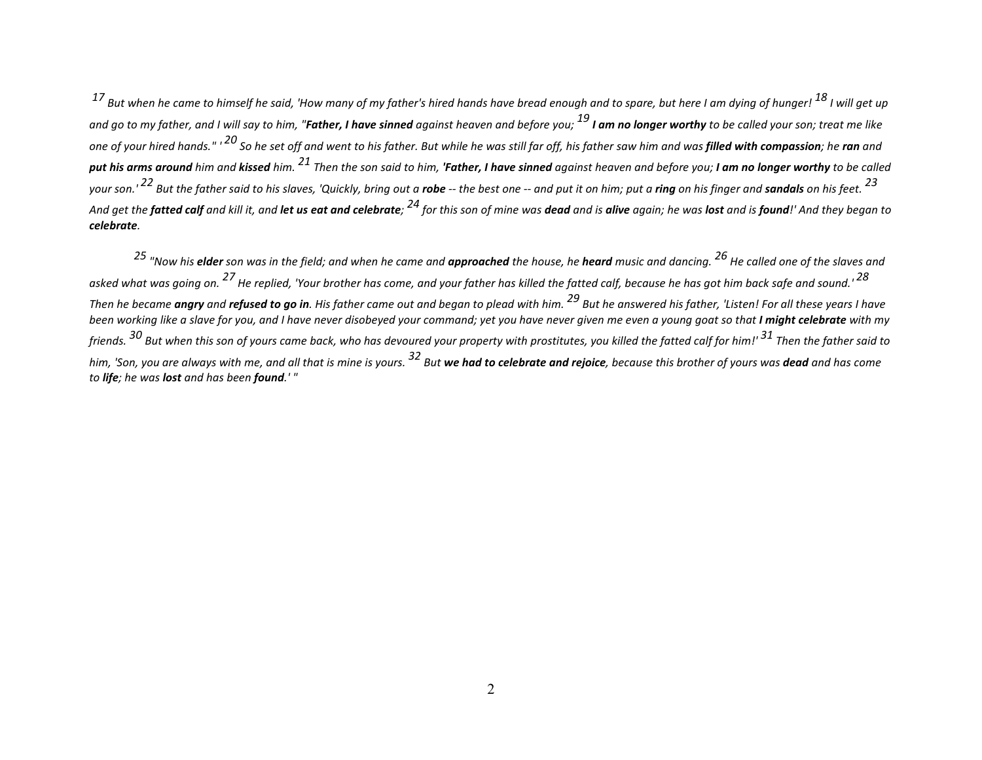*17 But when he came to himself he said, 'How many of my father's hired hands have bread enough and to spare, but here I am dying of hunger! 18 I will get up and go to my father, and I will say to him, "Father, I have sinned against heaven and before you; 19 I am no longer worthy to be called your son; treat me like one of your hired hands." ' 20 So he set off and went to his father. But while he was still far off, his father saw him and was filled with compassion; he ran and put his arms around him and kissed him. 21 Then the son said to him, 'Father, I have sinned against heaven and before you; I am no longer worthy to be called*  your son." <sup>22</sup> But the father said to his slaves, 'Quickly, bring out a **robe** -- the best one -- and put it on him; put a **ring** on his finger and **sandals** on his feet. <sup>23</sup> And get the **fatted calf** and kill it, and **let us eat and celebrate**; <sup>24</sup> for this son of mine was **dead** and is **alive** again; he was **lost** and is **found**!' And they began to *celebrate.* 

*25 "Now his elder son was in the field; and when he came and approached the house, he heard music and dancing. 26 He called one of the slaves and asked what was going on. 27 He replied, 'Your brother has come, and your father has killed the fatted calf, because he has got him back safe and sound.' 28 Then he became angry and refused to go in. His father came out and began to plead with him. 29 But he answered his father, 'Listen! For all these years I have*  been working like a slave for you, and I have never disobeyed your command; yet you have never given me even a young goat so that **I might celebrate** with my *friends. 30 But when this son of yours came back, who has devoured your property with prostitutes, you killed the fatted calf for him!' 31 Then the father said to him, 'Son, you are always with me, and all that is mine is yours. 32 But we had to celebrate and rejoice, because this brother of yours was dead and has come to life; he was lost and has been found.' "*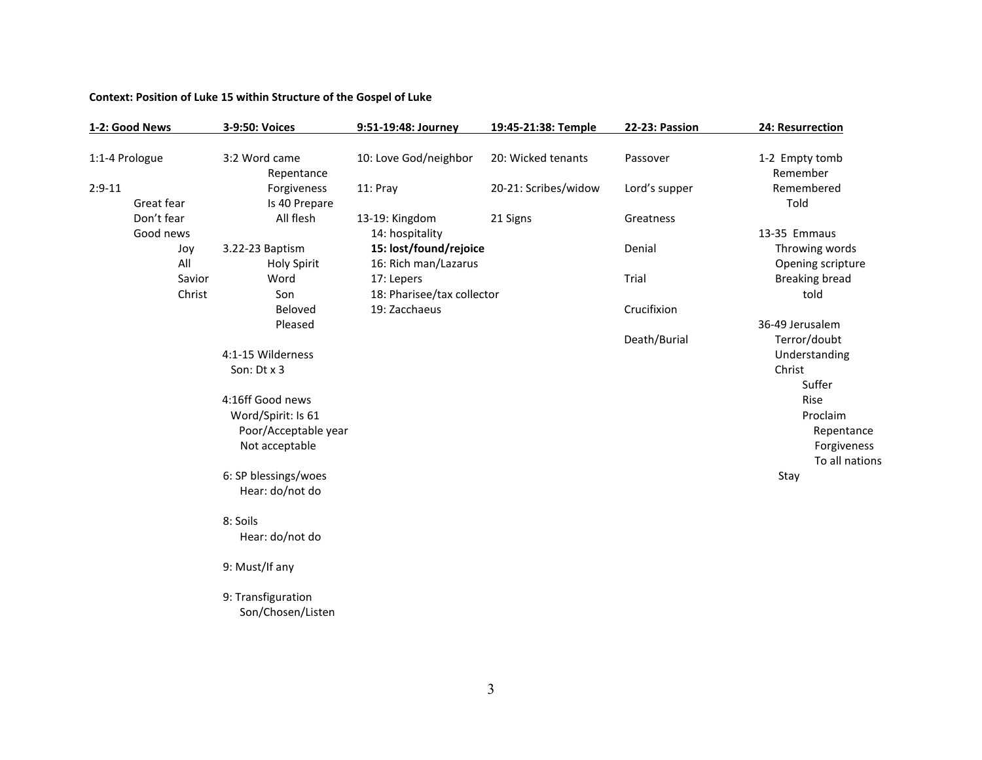## **Context: Position of Luke 15 within Structure of the Gospel of Luke**

| 1-2: Good News |                                         | 3-9:50: Voices                                                                   | 9:51-19:48: Journey                            | 19:45-21:38: Temple  | <b>22-23: Passion</b>  | 24: Resurrection                                  |
|----------------|-----------------------------------------|----------------------------------------------------------------------------------|------------------------------------------------|----------------------|------------------------|---------------------------------------------------|
| 1:1-4 Prologue |                                         | 3:2 Word came<br>Repentance                                                      | 10: Love God/neighbor                          | 20: Wicked tenants   | Passover               | 1-2 Empty tomb<br>Remember                        |
| $2:9-11$       | Great fear                              | Forgiveness<br>Is 40 Prepare                                                     | 11: Pray                                       | 20-21: Scribes/widow | Lord's supper          | Remembered<br>Told                                |
|                | Don't fear<br>Good news                 | All flesh                                                                        | 13-19: Kingdom<br>14: hospitality              | 21 Signs             | Greatness              | 13-35 Emmaus                                      |
|                | Joy<br>All                              | 3.22-23 Baptism<br><b>Holy Spirit</b>                                            | 15: lost/found/rejoice<br>16: Rich man/Lazarus |                      | Denial                 | Throwing words<br>Opening scripture               |
|                | Savior<br>Christ                        | Word<br>Son                                                                      | 17: Lepers<br>18: Pharisee/tax collector       |                      | Trial                  | <b>Breaking bread</b><br>told                     |
|                |                                         | Beloved<br>Pleased                                                               | 19: Zacchaeus                                  |                      | Crucifixion            | 36-49 Jerusalem                                   |
|                |                                         | 4:1-15 Wilderness<br>Son: Dt x 3                                                 |                                                |                      | Death/Burial           | Terror/doubt<br>Understanding<br>Christ<br>Suffer |
|                |                                         | 4:16ff Good news<br>Word/Spirit: Is 61<br>Poor/Acceptable year<br>Not acceptable |                                                |                      |                        | Rise<br>Proclaim<br>Repentance<br>Forgiveness     |
|                | 6: SP blessings/woes<br>Hear: do/not do |                                                                                  |                                                |                      | To all nations<br>Stay |                                                   |
|                |                                         | 8: Soils<br>Hear: do/not do                                                      |                                                |                      |                        |                                                   |
|                |                                         | 9: Must/If any                                                                   |                                                |                      |                        |                                                   |
|                |                                         | 9: Transfiguration<br>Son/Chosen/Listen                                          |                                                |                      |                        |                                                   |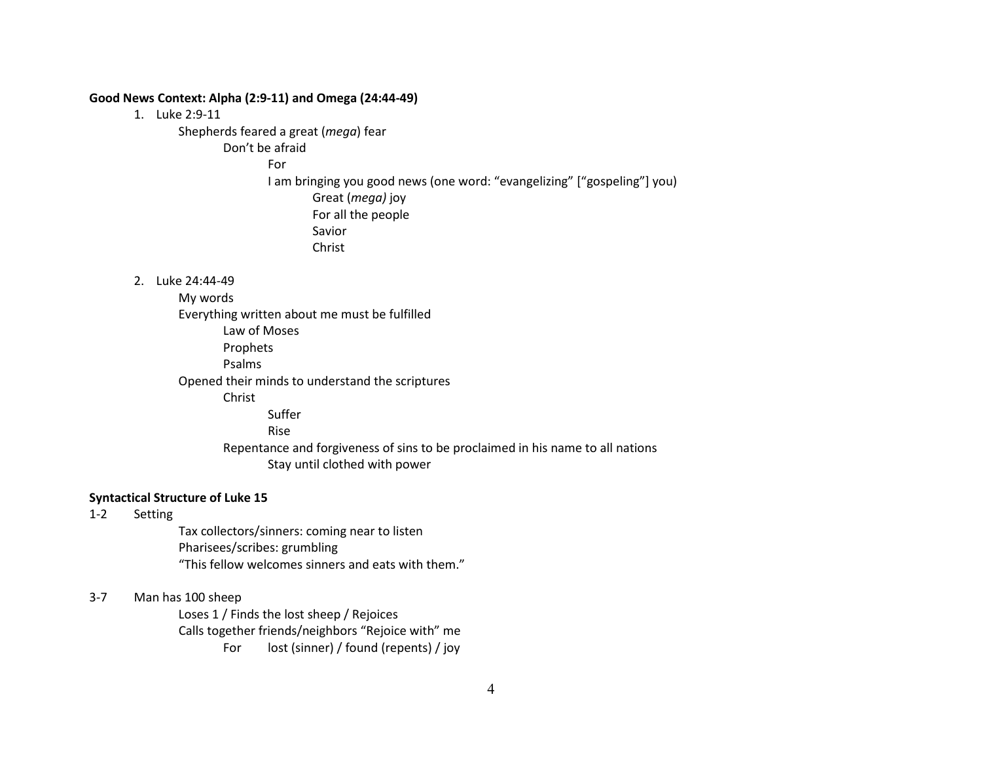### **Good News Context: Alpha (2:9-11) and Omega (24:44-49)**

1. Luke 2:9-11

Shepherds feared a great (*mega*) fear

Don't be afraid

For

I am bringing you good news (one word: "evangelizing" ["gospeling"] you) Great (*mega)* joy

For all the people Savior

Christ

2. Luke 24:44-49

My words Everything written about me must be fulfilled Law of Moses Prophets Psalms Opened their minds to understand the scriptures Christ Suffer Rise Repentance and forgiveness of sins to be proclaimed in his name to all nations Stay until clothed with power

## **Syntactical Structure of Luke 15**

1-2 Setting

Tax collectors/sinners: coming near to listen Pharisees/scribes: grumbling "This fellow welcomes sinners and eats with them."

3-7 Man has 100 sheep

Loses 1 / Finds the lost sheep / Rejoices Calls together friends/neighbors "Rejoice with" me For lost (sinner) / found (repents) / joy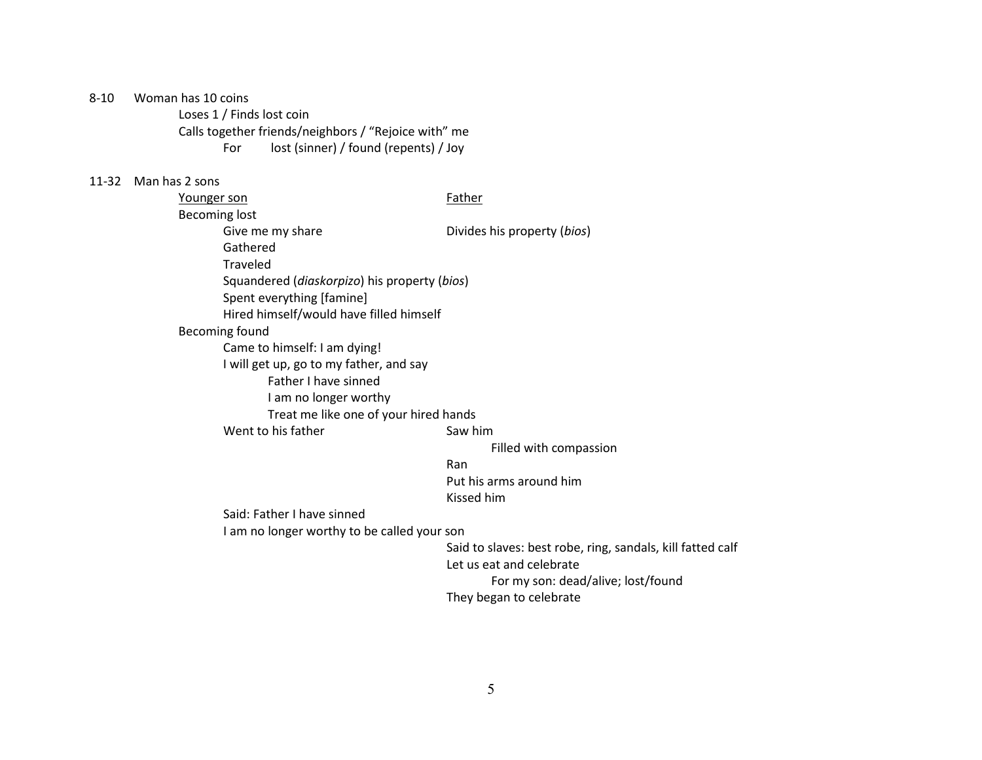8-10 Woman has 10 coins

Loses 1 / Finds lost coin Calls together friends/neighbors / "Rejoice with" me For lost (sinner) / found (repents) / Joy

## 11-32 Man has 2 sons

| Younger son                  |                                                                | Father                      |  |
|------------------------------|----------------------------------------------------------------|-----------------------------|--|
| <b>Becoming lost</b>         |                                                                |                             |  |
|                              | Give me my share                                               | Divides his property (bios) |  |
|                              | Gathered                                                       |                             |  |
|                              | Traveled                                                       |                             |  |
|                              | Squandered ( <i>diaskorpizo</i> ) his property ( <i>bios</i> ) |                             |  |
| Spent everything [famine]    |                                                                |                             |  |
|                              | Hired himself/would have filled himself                        |                             |  |
| Becoming found               |                                                                |                             |  |
| Came to himself: I am dying! |                                                                |                             |  |
|                              | I will get up, go to my father, and say                        |                             |  |
|                              | <b>Father I have sinned</b>                                    |                             |  |
|                              | I am no longer worthy                                          |                             |  |
|                              | Treat me like one of your hired hands                          |                             |  |
|                              | Went to his father                                             | Saw him                     |  |
|                              |                                                                | Filled with compassion      |  |
|                              |                                                                | Ran                         |  |

Put his arms around him Kissed him

Said: Father I have sinned

I am no longer worthy to be called your son

Said to slaves: best robe, ring, sandals, kill fatted calf

Let us eat and celebrate

For my son: dead/alive; lost/found

They began to celebrate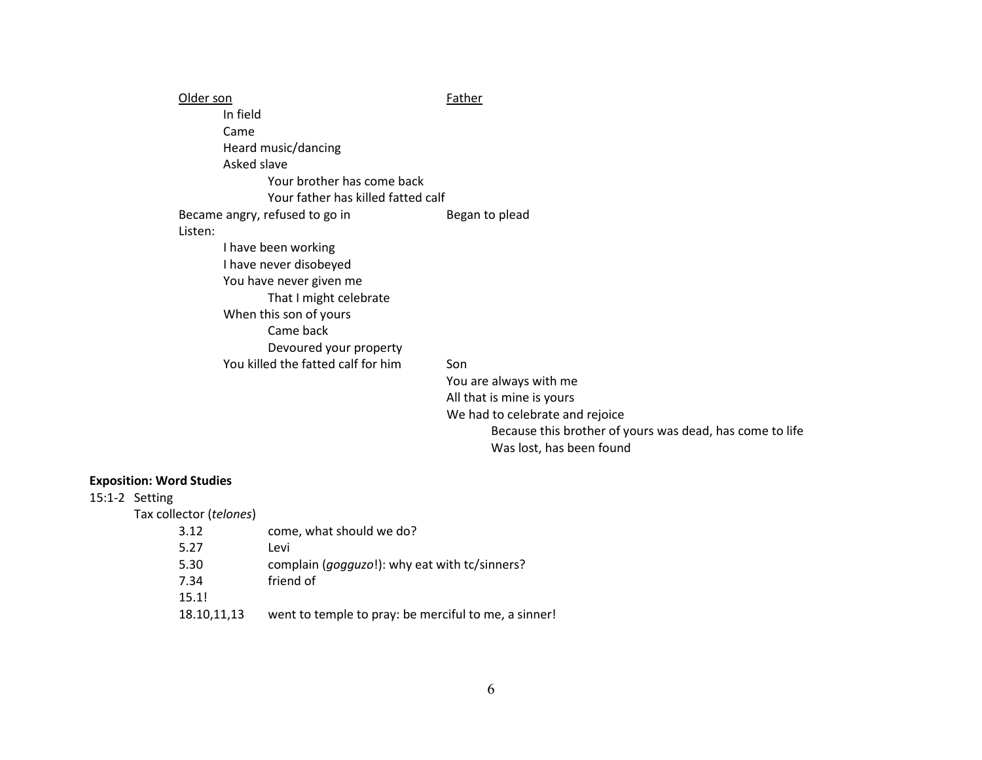| lder son                           | Father              |
|------------------------------------|---------------------|
| In field                           |                     |
| Came                               |                     |
| Heard music/dancing                |                     |
| Asked slave                        |                     |
| Your brother has come back         |                     |
| Your father has killed fatted calf |                     |
| Became angry, refused to go in     | Began to plead      |
| Listen:                            |                     |
| I have been working                |                     |
| I have never disobeyed             |                     |
| You have never given me            |                     |
| That I might celebrate             |                     |
| When this son of yours             |                     |
| Came back                          |                     |
| Devoured your property             |                     |
| You killed the fatted calf for him | Son                 |
|                                    | You are always witl |

th me All that is mine is yours We had to celebrate and rejoice Because this brother of yours was dead, has come to life Was lost, has been found

# **Exposition: Word Studies**

# 15:1-2 Setting

Tax collector (*telones*)

| 3.12        | come, what should we do?                               |
|-------------|--------------------------------------------------------|
| 5.27        | Levi                                                   |
| 5.30        | complain ( <i>gogguzo</i> !): why eat with tc/sinners? |
| 7.34        | friend of                                              |
| 15.1!       |                                                        |
| 18.10,11,13 | went to temple to pray: be merciful to me, a sinner!   |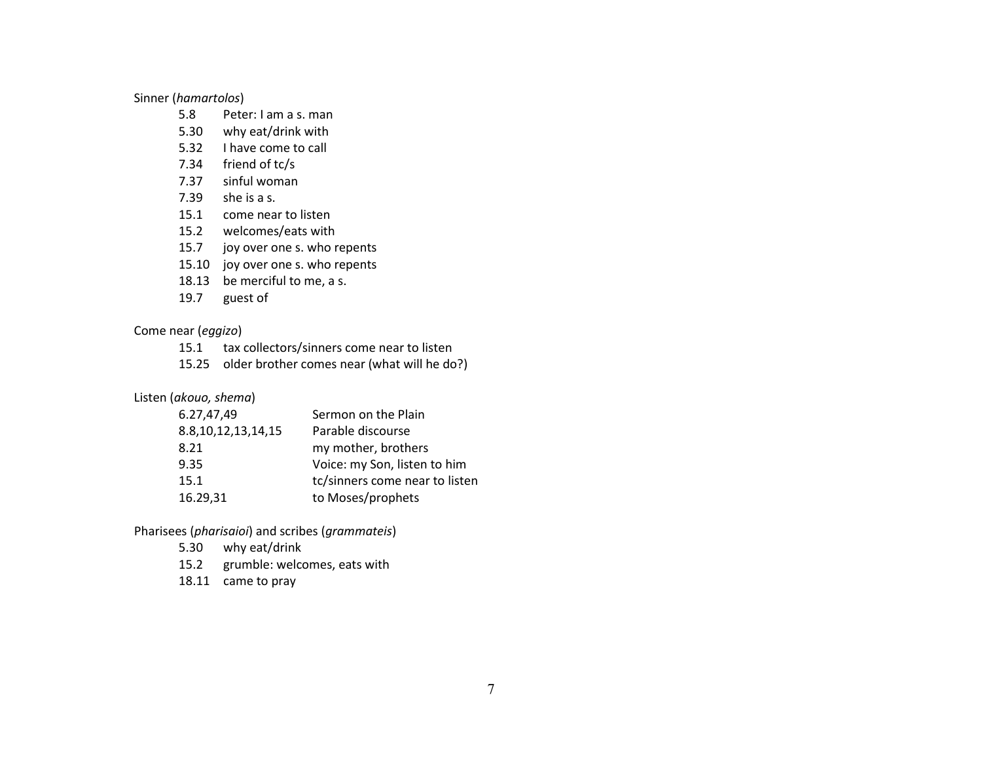Sinner (*hamartolos*)

- 5.8 Peter: I am a s. man
- 5.30 why eat/drink with
- 5.32 I have come to call
- 7.34 friend of tc/s
- 7.37 sinful woman
- 7.39 she is a s.
- 15.1 come near to listen
- 15.2 welcomes/eats with
- 15.7 joy over one s. who repents
- 15.10 joy over one s. who repents
- 18.13 be merciful to me, a s.
- 19.7 guest of

Come near (*eggizo*)

- 15.1 tax collectors/sinners come near to listen
- 15.25 older brother comes near (what will he do?)

Listen (*akouo, shema*)

| 6.27,47,49              | Sermon on the Plain            |
|-------------------------|--------------------------------|
| 8.8, 10, 12, 13, 14, 15 | Parable discourse              |
| 8.21                    | my mother, brothers            |
| 9.35                    | Voice: my Son, listen to him   |
| 15.1                    | tc/sinners come near to listen |
| 16.29,31                | to Moses/prophets              |
|                         |                                |

Pharisees (*pharisaioi*) and scribes (*grammateis*)

- 5.30 why eat/drink
- 15.2 grumble: welcomes, eats with
- 18.11 came to pray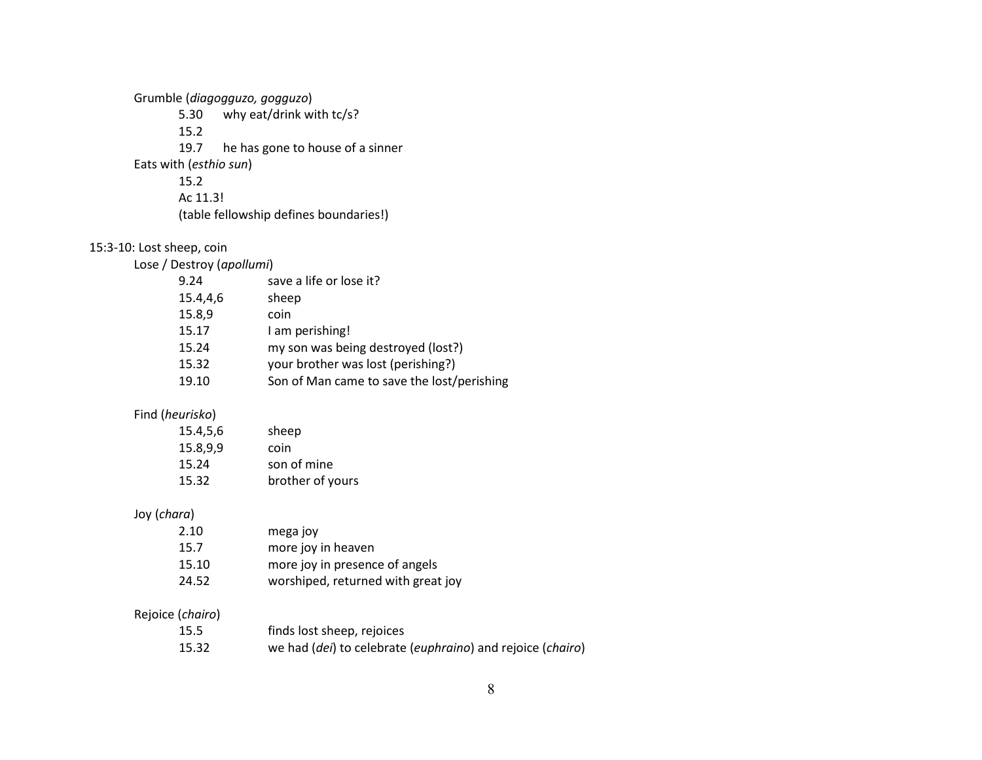Grumble (*diagogguzo, gogguzo*) 5.30 why eat/drink with tc/s? 15.2 19.7 he has gone to house of a sinner Eats with (*esthio sun*) 15.2 Ac 11.3! (table fellowship defines boundaries!)

# 15:3-10: Lost sheep, coin

Lose / Destroy (*apollumi*)

| 15.4,4,6<br>sheep                                   |  |
|-----------------------------------------------------|--|
| 15.8,9<br>coin                                      |  |
| I am perishing!<br>15.17                            |  |
| my son was being destroyed (lost?)<br>15.24         |  |
| your brother was lost (perishing?)<br>15.32         |  |
| Son of Man came to save the lost/perishing<br>19.10 |  |

## Find (*heurisko*)

| 15.4,5,6         | sheep                                                      |
|------------------|------------------------------------------------------------|
| 15.8,9,9         | coin                                                       |
| 15.24            | son of mine                                                |
| 15.32            | brother of yours                                           |
| Joy (chara)      |                                                            |
| 2.10             | mega joy                                                   |
| 15.7             | more joy in heaven                                         |
| 15.10            | more joy in presence of angels                             |
| 24.52            | worshiped, returned with great joy                         |
| Rejoice (chairo) |                                                            |
| 15.5             | finds lost sheep, rejoices                                 |
| 15.32            | we had (dei) to celebrate (euphraino) and rejoice (chairo) |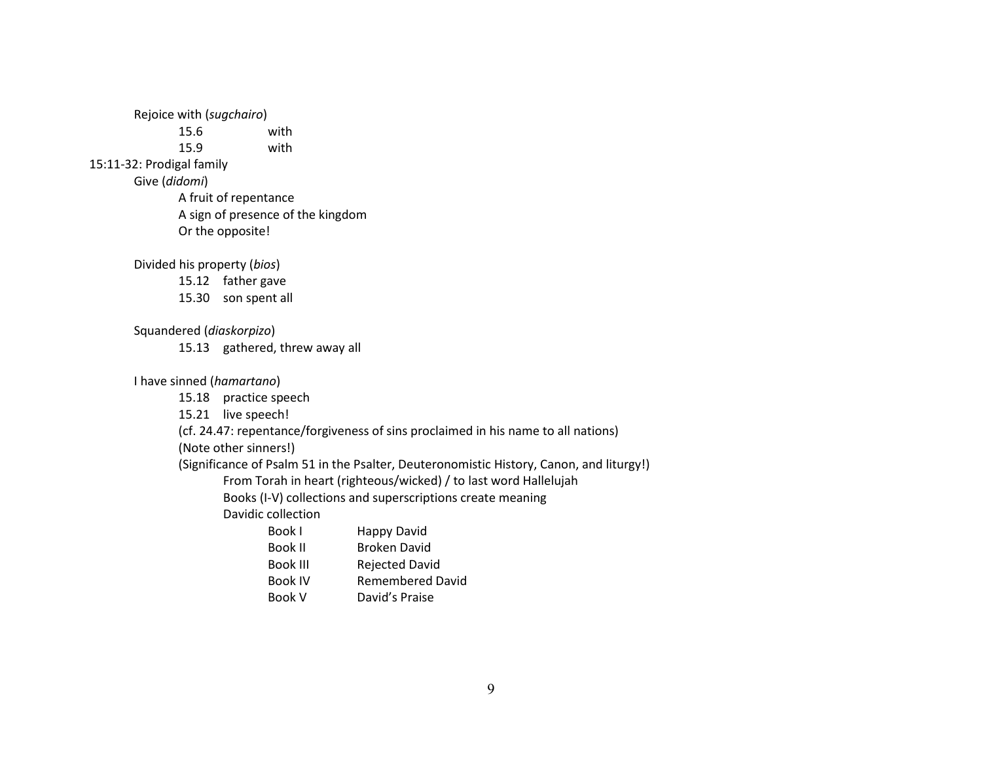Rejoice with (*sugchairo*)

15.6 with

15.9 with

15:11-32: Prodigal family

Give (*didomi*)

A fruit of repentance A sign of presence of the kingdom Or the opposite!

Divided his property (*bios*)

- 15.12 father gave
- 15.30 son spent all

Squandered (*diaskorpizo*)

15.13 gathered, threw away all

I have sinned (*hamartano*)

15.18 practice speech

15.21 live speech!

(cf. 24.47: repentance/forgiveness of sins proclaimed in his name to all nations)

(Note other sinners!)

(Significance of Psalm 51 in the Psalter, Deuteronomistic History, Canon, and liturgy!)

From Torah in heart (righteous/wicked) / to last word Hallelujah

Books (I-V) collections and superscriptions create meaning

Davidic collection

| Happy David             |
|-------------------------|
| <b>Broken David</b>     |
| <b>Rejected David</b>   |
| <b>Remembered David</b> |
| David's Praise          |
|                         |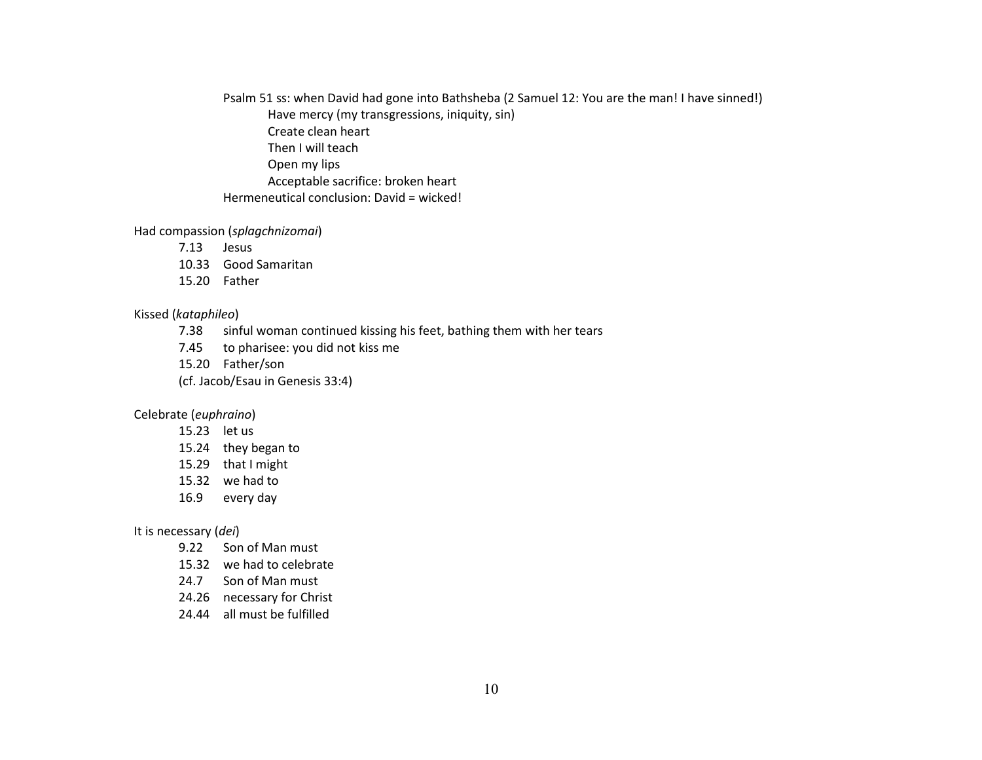Psalm 51 ss: when David had gone into Bathsheba (2 Samuel 12: You are the man! I have sinned!) Have mercy (my transgressions, iniquity, sin) Create clean heart Then I will teach Open my lips Acceptable sacrifice: broken heart Hermeneutical conclusion: David = wicked!

#### Had compassion (*splagchnizomai*)

- 7.13 Jesus
- 10.33 Good Samaritan
- 15.20 Father

### Kissed (*kataphileo*)

- 7.38 sinful woman continued kissing his feet, bathing them with her tears
- 7.45 to pharisee: you did not kiss me
- 15.20 Father/son
- (cf. Jacob/Esau in Genesis 33:4)

## Celebrate (*euphraino*)

- 15.23 let us
- 15.24 they began to
- 15.29 that I might
- 15.32 we had to
- 16.9 every day

#### It is necessary (*dei*)

- 9.22 Son of Man must
- 15.32 we had to celebrate
- 24.7 Son of Man must
- 24.26 necessary for Christ
- 24.44 all must be fulfilled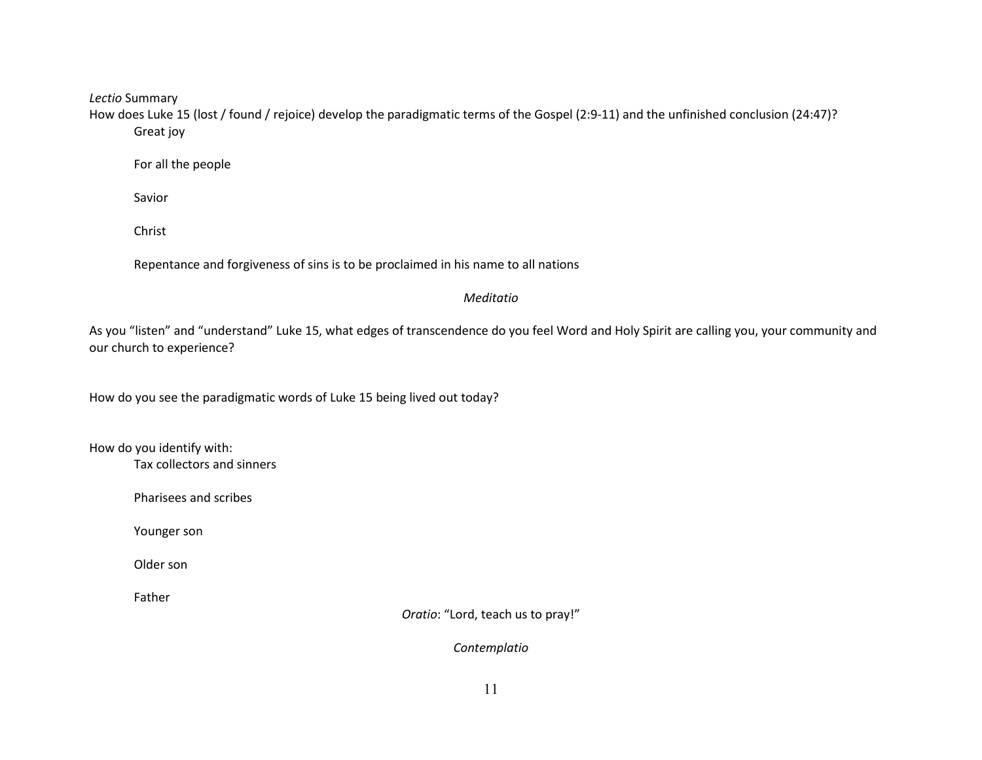*Lectio* Summary

How does Luke 15 (lost / found / rejoice) develop the paradigmatic terms of the Gospel (2:9-11) and the unfinished conclusion (24:47)? Great joy

For all the people

Savior

Christ

Repentance and forgiveness of sins is to be proclaimed in his name to all nations

## *Meditatio*

As you "listen" and "understand" Luke 15, what edges of transcendence do you feel Word and Holy Spirit are calling you, your community and our church to experience?

How do you see the paradigmatic words of Luke 15 being lived out today?

How do you identify with:

Tax collectors and sinners

Pharisees and scribes

Younger son

Older son

Father

*Oratio*: "Lord, teach us to pray!"

*Contemplatio*